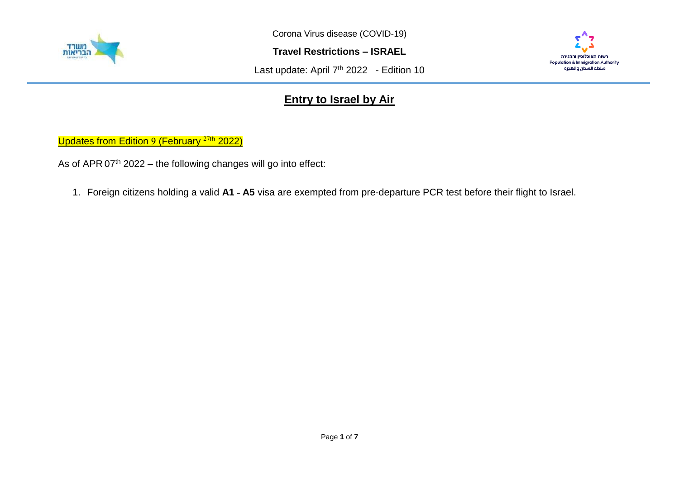

**Travel Restrictions – ISRAEL**

Last update: April 7<sup>th</sup> 2022 - Edition 10



## **Entry to Israel by Air**

Updates from Edition 9 (February<sup>27th</sup> 2022)

As of APR  $07<sup>th</sup> 2022$  – the following changes will go into effect:

1. Foreign citizens holding a valid **A1 - A5** visa are exempted from pre-departure PCR test before their flight to Israel.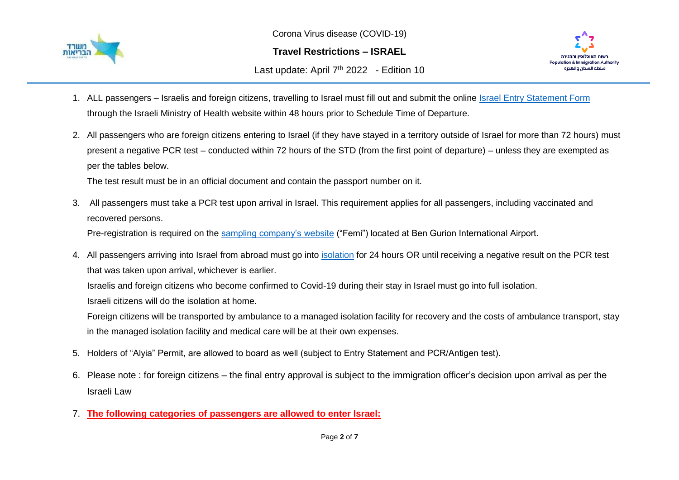

**Travel Restrictions – ISRAEL**

Last update: April 7<sup>th</sup> 2022 - Edition 10



- 1. ALL passengers Israelis and foreign citizens, travelling to Israel must fill out and submit the online [Israel Entry Statement Form](https://corona.health.gov.il/en/flights/?utm_source=go.gov.il&utm_medium=referral) through the Israeli Ministry of Health website within 48 hours prior to Schedule Time of Departure.
- 2. All passengers who are foreign citizens entering to Israel (if they have stayed in a territory outside of Israel for more than 72 hours) must present a negative PCR test – conducted within 72 hours of the STD (from the first point of departure) – unless they are exempted as per the tables below.

The test result must be in an official document and contain the passport number on it.

3. All passengers must take a PCR test upon arrival in Israel. This requirement applies for all passengers, including vaccinated and recovered persons.

Pre-registration is required on the [sampling company's website](https://testngo.femi.com/en/sign-in) ("Femi") located at Ben Gurion International Airport.

4. All passengers arriving into Israel from abroad must go into [isolation](https://corona.health.gov.il/en/abroad/isolation/) for 24 hours OR until receiving a negative result on the PCR test that was taken upon arrival, whichever is earlier.

Israelis and foreign citizens who become confirmed to Covid-19 during their stay in Israel must go into full isolation.

Israeli citizens will do the isolation at home.

Foreign citizens will be transported by ambulance to a managed isolation facility for recovery and the costs of ambulance transport, stay in the managed isolation facility and medical care will be at their own expenses.

- 5. Holders of "Alyia" Permit, are allowed to board as well (subject to Entry Statement and PCR/Antigen test).
- 6. Please note : for foreign citizens the final entry approval is subject to the immigration officer's decision upon arrival as per the Israeli Law
- 7. **The following categories of passengers are allowed to enter Israel:**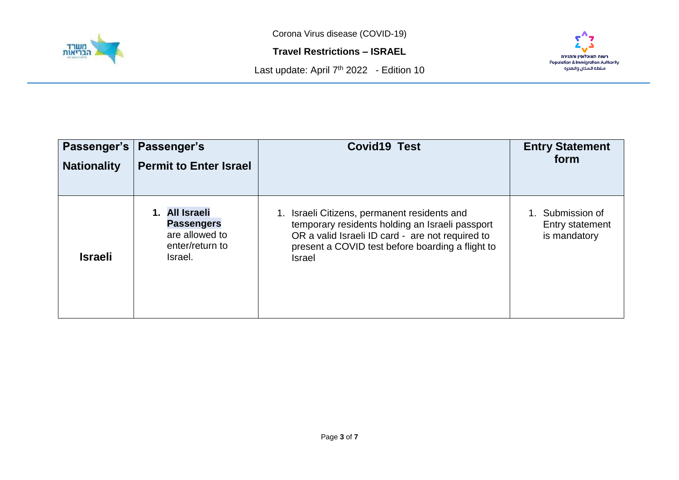

**Travel Restrictions – ISRAEL**





| Passenger's        | Passenger's                                                                         | <b>Covid19 Test</b>                                                                                                                                                                                                   | <b>Entry Statement</b>                           |
|--------------------|-------------------------------------------------------------------------------------|-----------------------------------------------------------------------------------------------------------------------------------------------------------------------------------------------------------------------|--------------------------------------------------|
| <b>Nationality</b> | <b>Permit to Enter Israel</b>                                                       |                                                                                                                                                                                                                       | form                                             |
| <b>Israeli</b>     | 1. All Israeli<br><b>Passengers</b><br>are allowed to<br>enter/return to<br>Israel. | Israeli Citizens, permanent residents and<br>temporary residents holding an Israeli passport<br>OR a valid Israeli ID card - are not required to<br>present a COVID test before boarding a flight to<br><b>Israel</b> | Submission of<br>Entry statement<br>is mandatory |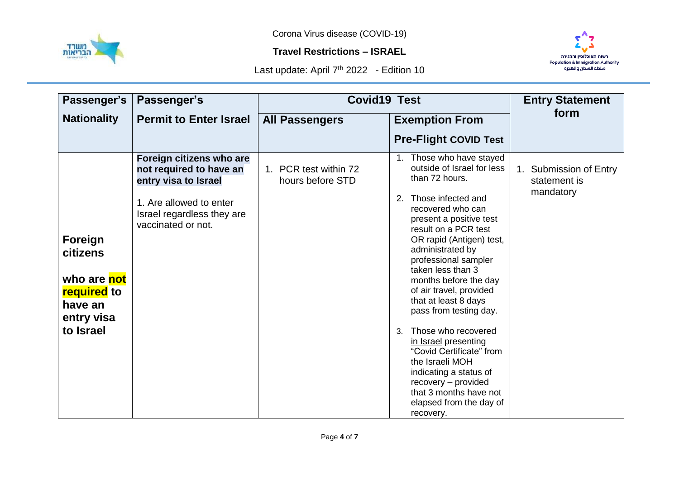

## **Travel Restrictions – ISRAEL**



| Passenger's                                                                                    | Passenger's                                                                                                                                                | <b>Covid19 Test</b>                       |                                                                                                                                                                                                                                                                                                                                                                                                                                                                                                                                                                                                | <b>Entry Statement</b>                              |
|------------------------------------------------------------------------------------------------|------------------------------------------------------------------------------------------------------------------------------------------------------------|-------------------------------------------|------------------------------------------------------------------------------------------------------------------------------------------------------------------------------------------------------------------------------------------------------------------------------------------------------------------------------------------------------------------------------------------------------------------------------------------------------------------------------------------------------------------------------------------------------------------------------------------------|-----------------------------------------------------|
| <b>Nationality</b>                                                                             | <b>Permit to Enter Israel</b>                                                                                                                              | <b>All Passengers</b>                     | <b>Exemption From</b>                                                                                                                                                                                                                                                                                                                                                                                                                                                                                                                                                                          | form                                                |
|                                                                                                |                                                                                                                                                            |                                           | <b>Pre-Flight COVID Test</b>                                                                                                                                                                                                                                                                                                                                                                                                                                                                                                                                                                   |                                                     |
| Foreign<br>citizens<br>who are not<br><b>required</b> to<br>have an<br>entry visa<br>to Israel | Foreign citizens who are<br>not required to have an<br>entry visa to Israel<br>1. Are allowed to enter<br>Israel regardless they are<br>vaccinated or not. | 1. PCR test within 72<br>hours before STD | 1. Those who have stayed<br>outside of Israel for less<br>than 72 hours.<br>Those infected and<br>recovered who can<br>present a positive test<br>result on a PCR test<br>OR rapid (Antigen) test,<br>administrated by<br>professional sampler<br>taken less than 3<br>months before the day<br>of air travel, provided<br>that at least 8 days<br>pass from testing day.<br>Those who recovered<br>$\mathcal{S}$<br>in Israel presenting<br>"Covid Certificate" from<br>the Israeli MOH<br>indicating a status of<br>recovery - provided<br>that 3 months have not<br>elapsed from the day of | 1. Submission of Entry<br>statement is<br>mandatory |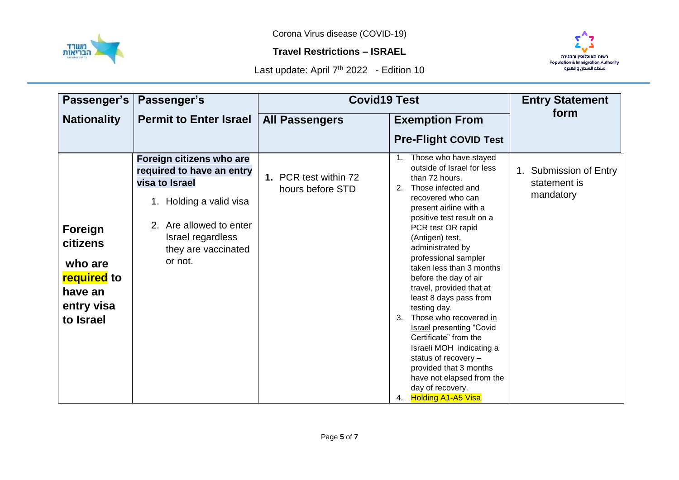

## **Travel Restrictions – ISRAEL**



| Passenger's                                                                                | Passenger's                                                                                                                                                                          | <b>Covid19 Test</b>                       |                                                                                                                                                                                                                                                                                                                                                                                                                                                                                                                                                                                                                                                     | <b>Entry Statement</b>                              |
|--------------------------------------------------------------------------------------------|--------------------------------------------------------------------------------------------------------------------------------------------------------------------------------------|-------------------------------------------|-----------------------------------------------------------------------------------------------------------------------------------------------------------------------------------------------------------------------------------------------------------------------------------------------------------------------------------------------------------------------------------------------------------------------------------------------------------------------------------------------------------------------------------------------------------------------------------------------------------------------------------------------------|-----------------------------------------------------|
| <b>Nationality</b>                                                                         | <b>Permit to Enter Israel</b>                                                                                                                                                        | <b>All Passengers</b>                     | <b>Exemption From</b>                                                                                                                                                                                                                                                                                                                                                                                                                                                                                                                                                                                                                               | form                                                |
|                                                                                            |                                                                                                                                                                                      |                                           | <b>Pre-Flight COVID Test</b>                                                                                                                                                                                                                                                                                                                                                                                                                                                                                                                                                                                                                        |                                                     |
| Foreign<br>citizens<br>who are<br><b>required</b> to<br>have an<br>entry visa<br>to Israel | Foreign citizens who are<br>required to have an entry<br>visa to Israel<br>1. Holding a valid visa<br>2. Are allowed to enter<br>Israel regardless<br>they are vaccinated<br>or not. | 1. PCR test within 72<br>hours before STD | 1. Those who have stayed<br>outside of Israel for less<br>than 72 hours.<br>Those infected and<br>2.<br>recovered who can<br>present airline with a<br>positive test result on a<br>PCR test OR rapid<br>(Antigen) test,<br>administrated by<br>professional sampler<br>taken less than 3 months<br>before the day of air<br>travel, provided that at<br>least 8 days pass from<br>testing day.<br>Those who recovered in<br>3.<br><b>Israel presenting "Covid</b><br>Certificate" from the<br>Israeli MOH indicating a<br>status of recovery -<br>provided that 3 months<br>have not elapsed from the<br>day of recovery.<br>4. Holding A1-A5 Visa | 1. Submission of Entry<br>statement is<br>mandatory |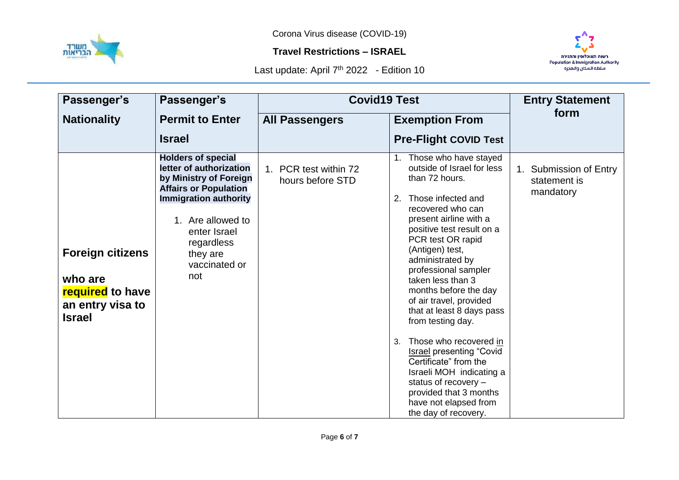

## **Travel Restrictions – ISRAEL**



| Passenger's                                                                                        | Passenger's                                                                                                                                                                                                                           | <b>Covid19 Test</b>                       |                                                                                                                                                                                                                                                                                                                                                                                                                                                                                                                                                                                                                              | <b>Entry Statement</b>                              |
|----------------------------------------------------------------------------------------------------|---------------------------------------------------------------------------------------------------------------------------------------------------------------------------------------------------------------------------------------|-------------------------------------------|------------------------------------------------------------------------------------------------------------------------------------------------------------------------------------------------------------------------------------------------------------------------------------------------------------------------------------------------------------------------------------------------------------------------------------------------------------------------------------------------------------------------------------------------------------------------------------------------------------------------------|-----------------------------------------------------|
| <b>Nationality</b>                                                                                 | <b>Permit to Enter</b>                                                                                                                                                                                                                | <b>All Passengers</b>                     | <b>Exemption From</b>                                                                                                                                                                                                                                                                                                                                                                                                                                                                                                                                                                                                        | form                                                |
|                                                                                                    | <b>Israel</b>                                                                                                                                                                                                                         |                                           | <b>Pre-Flight COVID Test</b>                                                                                                                                                                                                                                                                                                                                                                                                                                                                                                                                                                                                 |                                                     |
| <b>Foreign citizens</b><br>who are<br><b>required</b> to have<br>an entry visa to<br><b>Israel</b> | <b>Holders of special</b><br>letter of authorization<br>by Ministry of Foreign<br><b>Affairs or Population</b><br><b>Immigration authority</b><br>1. Are allowed to<br>enter Israel<br>regardless<br>they are<br>vaccinated or<br>not | 1. PCR test within 72<br>hours before STD | 1. Those who have stayed<br>outside of Israel for less<br>than 72 hours.<br>Those infected and<br>2.<br>recovered who can<br>present airline with a<br>positive test result on a<br>PCR test OR rapid<br>(Antigen) test,<br>administrated by<br>professional sampler<br>taken less than 3<br>months before the day<br>of air travel, provided<br>that at least 8 days pass<br>from testing day.<br>Those who recovered in<br>3.<br><b>Israel presenting "Covid</b><br>Certificate" from the<br>Israeli MOH indicating a<br>status of recovery $-$<br>provided that 3 months<br>have not elapsed from<br>the day of recovery. | 1. Submission of Entry<br>statement is<br>mandatory |